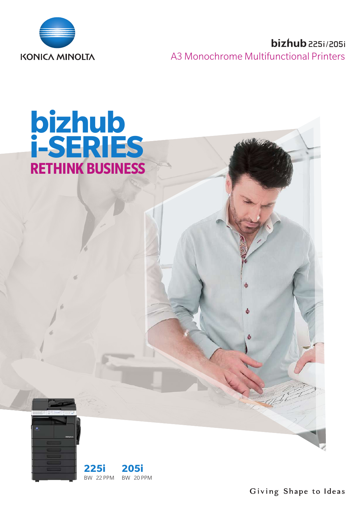

# **SECURE A**<br>**ISONICA MINOLTA** A3 Monochrome Multifunctional Printers A3 Monochrome Multifunctional Printers







Giving Shape to Ideas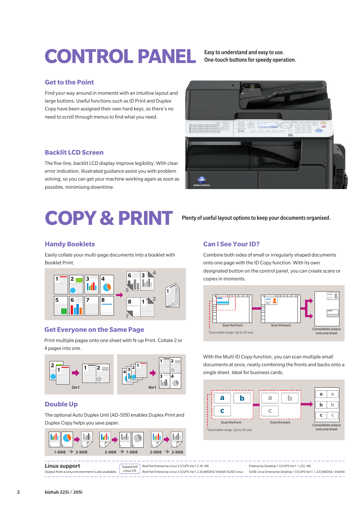# CONTROL PANEL **Easy to understand and easy to use**.

One-touch buttons for speedy operation.

#### **Get to the Point**

Find your way around in moments with an intuitive layout and large buttons. Useful functions such as ID Print and Duplex Copy have been assigned their own hard keys, so there's no need to scroll through menus to find what you need.

#### **Backlit LCD Screen**

The five-line, backlit LCD display improve legibility. With clear error indication, illustrated guidance assist you with problem solving, so you can get your machine working again as soon as possible, minimising downtime.

## **COPY& PRINT**

#### **Handy Booklets**

Easily collate your multi-page documents into a booklet with Booklet Print.



#### **Get Everyone on the Same Page**

Print multiple pages onto one sheet with N-up Print. Collate 2 or 4 pages into one.



#### **Double Up**

The optional Auto Duplex Unit (AD-509) enables Duplex Print and Duplex Copy helps you save paper.





Plenty of useful layout options to keep your documents organised.

### **Can I See Your ID?**

Combine both sides of small or irregularly shaped documents onto one page with the ID Copy function. With its own designated button on the control panel, you can create scans or copies in moments.



With the Multi ID Copy function, you can scan multiple small documents at once, neatly combining the fronts and backs onto a single sheet. Ideal for business cards.



Linux support Output from a Linux environment is also available. **Supported** Linux OS Red Hat Enterprise Linux 5 (CUPS Ver1.2.4) ×86 Red Hat Enterprise Linux 5 (CUPS Ver1.2.4) AMD64/Intel64/SUSE Linux Enterprise Desktop 11(CUPS Ver1.1.23) ×86 SUSE Linux Enterprise Desktop 11(CUPS Ver1.1.23) AMD64/ Intel64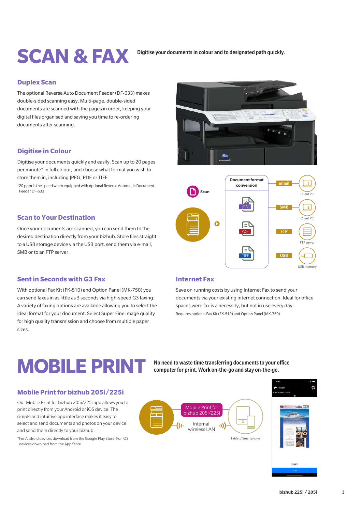## **CONTROL PANEL SCAN & FAX**

#### Digitise your documents in colour and to designated path quickly.

#### **Duplex Scan**

The optional Reverse Auto Document Feeder (DF-633) makes double-sided scanning easy. Multi-page, double-sided documents are scanned with the pages in order, keeping your digital files organised and saving you time to re-ordering documents after scanning.

## **Digitise in Colour**

Digitise your documents quickly and easily. Scan up to 20 pages per minute\* in full colour, and choose what format you wish to store them in, including IPEG, PDF or TIFF.

\*20 ppm is the speed when equipped with optional Reverse Automatic Document Feeder DF-633

#### **Scan to Your Destination**

Once your documents are scanned, you can send them to the desired destination directly from your bizhub. Store files straight to a USB storage device via the USB port, send them via e-mail, SMB or to an FTP server.





### **Sent in Seconds with G3 Fax**

devices download from the App Store.

With optional Fax Kit (FK-510) and Option Panel (MK-750) you can send faxes in as little as 3 seconds via high-speed G3 faxing. A variety of faxing options are available allowing you to select the ideal format for your document. Select Super Fine image quality for high quality transmission and choose from multiple paper sizes.

#### **Internet Fax**

Save on running costs by using Internet Fax to send your documents via your existing internet connection. Ideal for office spaces were fax is a necessity, but not in use every day. Requires optional Fax Kit (FK-510) and Option Panel (MK-750).

## MOBILE PRINT No need to waste time transferring documents to your office

computer for print. Work on-the-go and stay on-the-go.

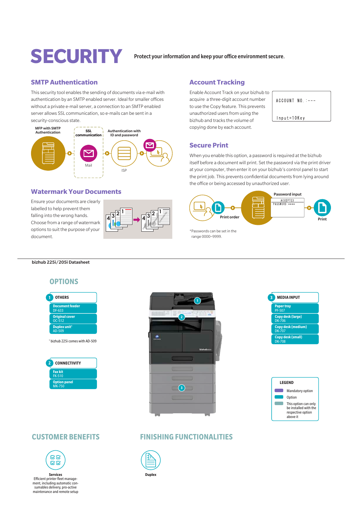## **SECURITY** Protect your information and keep your office environment secure.

## **SMTP Authentication**

This security tool enables the sending of documents via e-mail with authentication by an SMTP enabled server. Ideal for smaller offices without a private e-mail server, a connection to an SMTP enabled server allows SSL communication, so e-mails can be sent in a security-conscious state.



#### **Watermark Your Documents**

Ensure your documents are clearly labelled to help prevent them falling into the wrong hands. Choose from a range of watermark options to suit the purpose of your document.



#### **Account Tracking**

Enable Account Track on your bizhub to acquire a three-digit account number to use the Copy feature. This prevents unauthorized users from using the bizhub and tracks the volume of copying done by each account.

 $ACCOUNT NO. :---$ Input=10Key

### **Secure Print**

When you enable this option, a password is required at the bizhub itself before a document will print. Set the password via the print driver at your computer, then enter it on your bizhub's control panel to start the print job. This prevents confidential documents from lying around the office or being accessed by unauthorized user.



\*Passwords can be set in the range 0000~9999.

bizhub 225i/205i Datasheet

## **OPTIONS**

| 1              | <b>OTHERS</b>                              |
|----------------|--------------------------------------------|
|                | <b>Document feeder</b><br><b>DF-633</b>    |
|                | <b>Original cover</b><br>OC-512            |
|                | Duplex unit <sup>1</sup><br>AD-509         |
|                | <sup>1</sup> bizhub 225i comes with AD-509 |
| $\overline{2}$ | <b>CONNECTIVITY</b>                        |
|                | <b>Fax kit</b><br><b>FK-510</b>            |
|                | <b>Option panel</b>                        |







## **CUSTOMER BENEFITS**





**Duplex**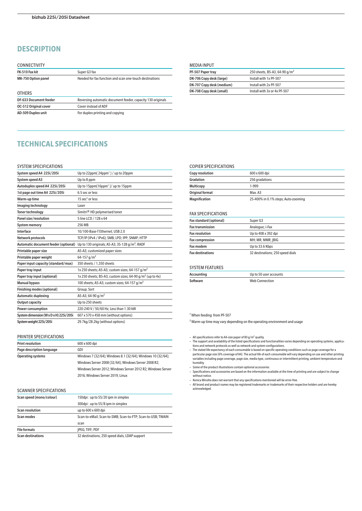## **DESCRIPTION**

| <b>CONNECTIVITY</b>        |                                                             |
|----------------------------|-------------------------------------------------------------|
| FK-510 Fax kit             | Super G3 fax                                                |
| <b>MK-750 Option panel</b> | Needed for fax function and scan one-touch destinations     |
| <b>OTHERS</b>              |                                                             |
| DF-633 Document feeder     | Reversing automatic document feeder, capacity 130 originals |
| OC-512 Original cover      | Cover instead of ADF                                        |
| AD-509 Duplex unit         | For duplex printing and copying                             |

#### MEDIA INPUT

| PF-507 Paper tray         | 250 sheets, B5-A3, 64-90 g/m <sup>2</sup> |
|---------------------------|-------------------------------------------|
| DK-706 Copy desk (large)  | Install with 1x PF-507                    |
| DK-707 Copy desk (medium) | Install with 2x PF-507                    |
| DK-708 Copy desk (small)  | Install with 3x or 4x PF-507              |
|                           |                                           |

### **TECHNICAL SPECIFICATIONS**

#### SYSTEM SPECIFICATIONS

| System speed A4 225i/205i              | Up to 22ppm( $24$ ppm <sup>1</sup> ) / up to 20ppm                                              |
|----------------------------------------|-------------------------------------------------------------------------------------------------|
| System speed A3                        | Up to 8 ppm                                                                                     |
| Autoduplex speed A4 225i/205i          | Up to 15ppm(16ppm <sup>1</sup> )/up to 15ppm                                                    |
| 1st page out time A4 225i/205i         | 6.5 sec or less                                                                                 |
| Warm-up time                           | 15 sec $2$ or less                                                                              |
| Imaging technology                     | Laser                                                                                           |
| <b>Toner technology</b>                | Simitri <sup>®</sup> HD polymerised toner                                                       |
| Panel size/resolution                  | 5 line LCD / 128 x 64                                                                           |
| <b>System memory</b>                   | 256 MB                                                                                          |
| Interface                              | 10/100-Base-T Ethernet; USB 2.0                                                                 |
| Network protocols                      | TCP/IP (IPv4 / IPv6); SMB; LPD; IPP; SNMP; HTTP                                                 |
|                                        | Automatic document feeder (optional) Up to 130 originals; A5-A3; 35-128 g/m <sup>2</sup> ; RADF |
| Printable paper size                   | A5-A3; customized paper sizes                                                                   |
| Printable paper weight                 | 64-157 $q/m^2$                                                                                  |
| Paper input capacity (standard/max)    | 350 sheets / 1,350 sheets                                                                       |
| Paper tray input                       | 1x 250 sheets; A5-A3; custom sizes; 64-157 $q/m^2$                                              |
| Paper tray input (optional)            | 1x 250 sheets; B5-A3; custom sizes; 64-90 g/m <sup>2</sup> (up to 4x)                           |
| <b>Manual bypass</b>                   | 100 sheets; A5-A3; custom sizes; 64-157 g/m <sup>2</sup>                                        |
| <b>Finishing modes (optional)</b>      | Group; Sort                                                                                     |
| <b>Automatic duplexing</b>             | A5-A3; 64-90 $q/m^2$                                                                            |
| Output capacity                        | Up to 250 sheets                                                                                |
| Power consumption                      | 220-240 V / 50/60 Hz; Less than 1.30 kW                                                         |
| System dimension (W x D x H) 225i/205i | 607 x 570 x 458 mm (without options)                                                            |
| System weight 225i/205i                | 29.7kg/28.2kg (without options)                                                                 |

#### PRINTER SPECIFICATIONS

| <b>Print resolution</b>   | 600 x 600 dpi                                               |
|---------------------------|-------------------------------------------------------------|
| Page description language | GDI                                                         |
| <b>Operating systems</b>  | Windows 7 (32/64); Windows 8.1 (32/64); Windows 10 (32/64); |
|                           | Windows Server 2008 (32/64): Windows Server 2008 R2:        |
|                           | Windows Server 2012: Windows Server 2012 R2: Windows Server |
|                           | 2016; Windows Server 2019; Linux                            |

#### SCANNER SPECIFICATIONS

| Scan speed (mono/colour) | 150dpi: up to 55/20 ipm in simplex                          |  |
|--------------------------|-------------------------------------------------------------|--|
|                          | 300dpi: up to 55/8 ipm in simplex                           |  |
| <b>Scan resolution</b>   | up to 600 x 600 dpi                                         |  |
| Scan modes               | Scan-to-eMail: Scan-to-SMB: Scan-to-FTP: Scan-to-USB: TWAIN |  |
|                          | scan                                                        |  |
| <b>File formats</b>      | <b>IPEG; TIFF; PDF</b>                                      |  |
| <b>Scan destinations</b> | 32 destinations; 250 speed dials; LDAP support              |  |

#### COPIER SPECIFICATIONS

| <b>Copy resolution</b> | 600 x 600 dpi                       |
|------------------------|-------------------------------------|
| Gradation              | 256 gradations                      |
| <b>Multicopy</b>       | 1-999                               |
| <b>Original format</b> | Max. A3                             |
| <b>Magnification</b>   | 25-400% in 0.1% steps; Auto-zooming |

#### FAX SPECIFICATIONS

| Fax standard (optional) | Super G3                         |
|-------------------------|----------------------------------|
| <b>Fax transmission</b> | Analogue; i-Fax                  |
| <b>Fax resolution</b>   | Up to 408 x 392 dpi              |
| <b>Fax compression</b>  | MH; MR; MMR; IBIG                |
| Fax modem               | Up to 33.6 Kbps                  |
| <b>Fax destinations</b> | 32 destinations; 250 speed dials |

#### SYSTEM FEATURES

| Accounting | Up to 50 user accounts |
|------------|------------------------|
| Software   | <b>Web Connection</b>  |

#### <sup>1</sup> When feeding from PF-507

<sup>2</sup> Warm-up time may vary depending on the operating environment and usage

- 
- All specifications refer to A4-size paper of 80 g/m<sup>2</sup> quality.<br>
 The support and availability of the listed specifications and functionalities varies depending on operating systems, applica-<br>
tions and network protoco
- variables including page coverage, page size, media type, continuous or intermittent printing, ambient temperature and humidity.
- Some of the product illustrations contain optional accessories. Specifications and accessories are based on the information available at the time of printing and are subject to change
	-
- without notice. Konica Minolta does not warrant that any specifications mentioned will be error-free.
- All brand and product names may be registered trademarks or trademarks of their respective holders and are hereby acknowledged.